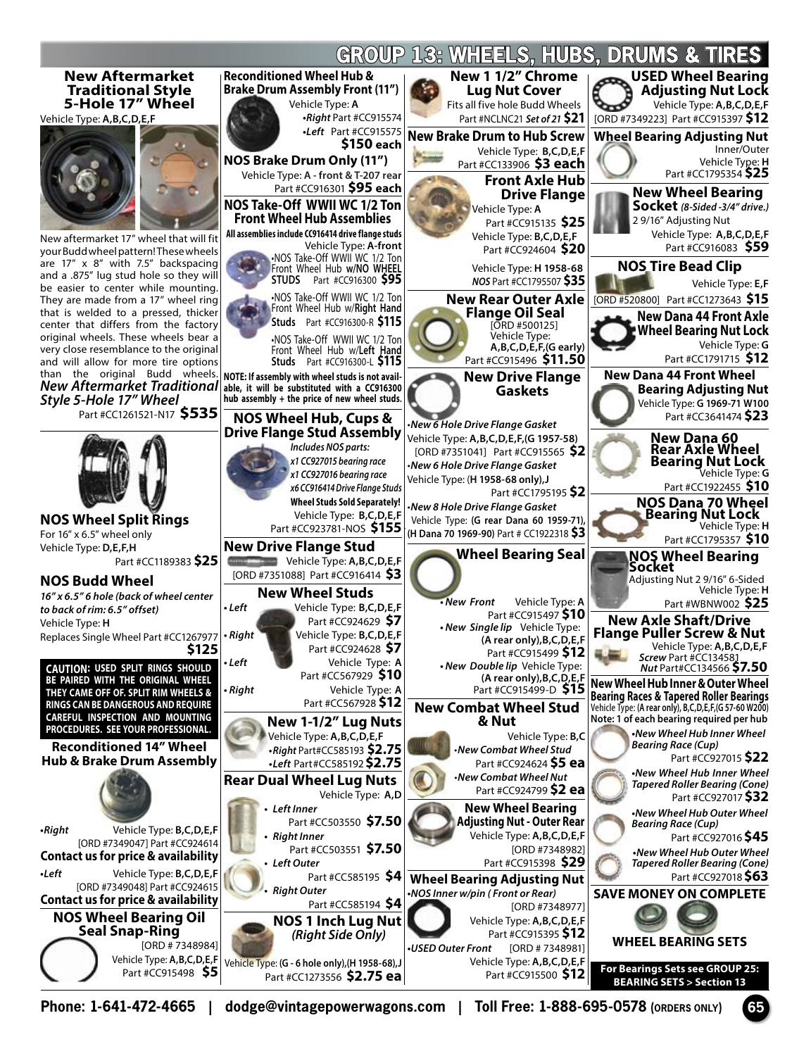

**Phone: 1-641-472-4665 | dodge@vintagepowerwagons.com | Toll Free: 1-888-695-0578 (ORDERS ONLY) 65**